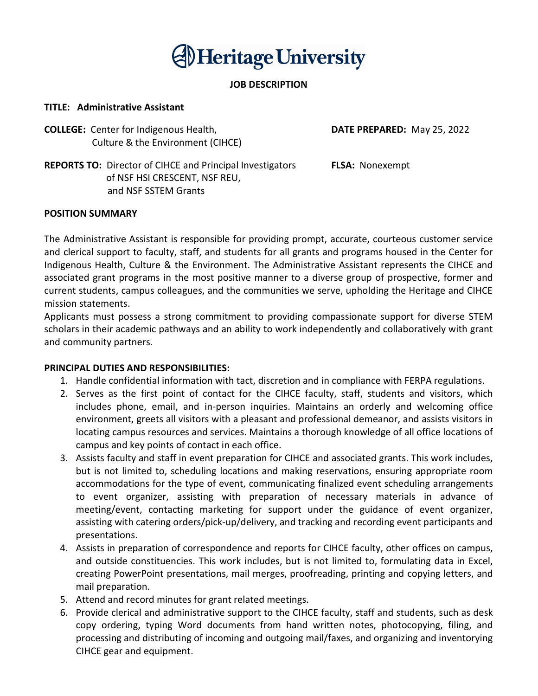# **AlHeritage University**

## JOB DESCRIPTION

#### TITLE: Administrative Assistant

**COLLEGE:** Center for Indigenous Health, **DATE PREPARED:** May 25, 2022 Culture & the Environment (CIHCE)

REPORTS TO: Director of CIHCE and Principal Investigators **FLSA:** Nonexempt of NSF HSI CRESCENT, NSF REU, and NSF SSTEM Grants

#### POSITION SUMMARY

The Administrative Assistant is responsible for providing prompt, accurate, courteous customer service and clerical support to faculty, staff, and students for all grants and programs housed in the Center for Indigenous Health, Culture & the Environment. The Administrative Assistant represents the CIHCE and associated grant programs in the most positive manner to a diverse group of prospective, former and current students, campus colleagues, and the communities we serve, upholding the Heritage and CIHCE mission statements.

Applicants must possess a strong commitment to providing compassionate support for diverse STEM scholars in their academic pathways and an ability to work independently and collaboratively with grant and community partners.

#### PRINCIPAL DUTIES AND RESPONSIBILITIES:

- 1. Handle confidential information with tact, discretion and in compliance with FERPA regulations.
- 2. Serves as the first point of contact for the CIHCE faculty, staff, students and visitors, which includes phone, email, and in-person inquiries. Maintains an orderly and welcoming office environment, greets all visitors with a pleasant and professional demeanor, and assists visitors in locating campus resources and services. Maintains a thorough knowledge of all office locations of campus and key points of contact in each office.
- 3. Assists faculty and staff in event preparation for CIHCE and associated grants. This work includes, but is not limited to, scheduling locations and making reservations, ensuring appropriate room accommodations for the type of event, communicating finalized event scheduling arrangements to event organizer, assisting with preparation of necessary materials in advance of meeting/event, contacting marketing for support under the guidance of event organizer, assisting with catering orders/pick-up/delivery, and tracking and recording event participants and presentations.
- 4. Assists in preparation of correspondence and reports for CIHCE faculty, other offices on campus, and outside constituencies. This work includes, but is not limited to, formulating data in Excel, creating PowerPoint presentations, mail merges, proofreading, printing and copying letters, and mail preparation.
- 5. Attend and record minutes for grant related meetings.
- 6. Provide clerical and administrative support to the CIHCE faculty, staff and students, such as desk copy ordering, typing Word documents from hand written notes, photocopying, filing, and processing and distributing of incoming and outgoing mail/faxes, and organizing and inventorying CIHCE gear and equipment.